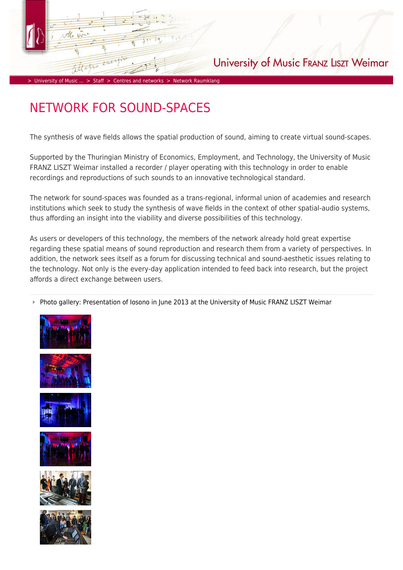## University of Music FRANZ LISZT Weimar

> [University of Music ...](https://www.hfm-weimar.de/start/?L=1) > [Staff](https://www.hfm-weimar.de/staff/professors-teachers/?L=1) > [Centres and networks](https://www.hfm-weimar.de/staff/centres-and-networks/?L=1) > [Network Raumklang](https://www.hfm-weimar.de/staff/centres-and-networks/network-raumklang/?L=1)

# NETWORK FOR SOUND-SPACES

The synthesis of wave fields allows the spatial production of sound, aiming to create virtual sound-scapes.

Supported by the Thuringian Ministry of Economics, Employment, and Technology, the University of Music FRANZ LISZT Weimar installed a recorder / player operating with this technology in order to enable recordings and reproductions of such sounds to an innovative technological standard.

The network for sound-spaces was founded as a trans-regional, informal union of academies and research institutions which seek to study the synthesis of wave fields in the context of other spatial-audio systems, thus affording an insight into the viability and diverse possibilities of this technology.

As users or developers of this technology, the members of the network already hold great expertise regarding these spatial means of sound reproduction and research them from a variety of perspectives. In addition, the network sees itself as a forum for discussing technical and sound-aesthetic issues relating to the technology. Not only is the every-day application intended to feed back into research, but the project affords a direct exchange between users.

Photo gallery: Presentation of Iosono in June 2013 at the University of Music FRANZ LISZT Weimar











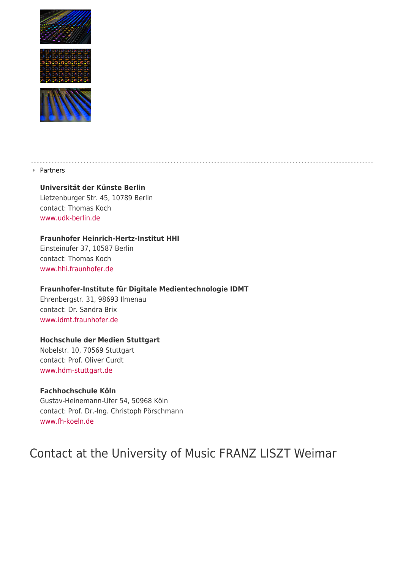





▶ Partners

## **Universität der Künste Berlin**

Lietzenburger Str. 45, 10789 Berlin contact: Thomas Koch [www.udk-berlin.de](http://www.udk-berlin.de/)

## **Fraunhofer Heinrich-Hertz-Institut HHI**

Einsteinufer 37, 10587 Berlin contact: Thomas Koch [www.hhi.fraunhofer.de](http://www.hhi.fraunhofer.de/)

## **Fraunhofer-Institute für Digitale Medientechnologie IDMT**

Ehrenbergstr. 31, 98693 Ilmenau contact: Dr. Sandra Brix [www.idmt.fraunhofer.de](http://www.idmt.fraunhofer.de/)

## **Hochschule der Medien Stuttgart**

Nobelstr. 10, 70569 Stuttgart contact: Prof. Oliver Curdt [www.hdm-stuttgart.de](http://www.hdm-stuttgart.de/)

### **Fachhochschule Köln**

Gustav-Heinemann-Ufer 54, 50968 Köln contact: Prof. Dr.-Ing. Christoph Pörschmann [www.fh-koeln.de](http://www.fh-koeln.de/)

# Contact at the University of Music FRANZ LISZT Weimar